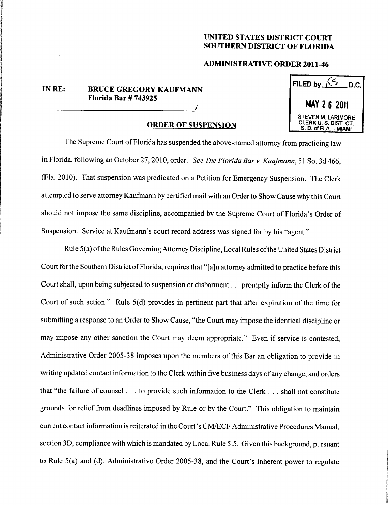## UNITED STATES DISTRICT COURT SOUTHERN DISTRICT OF FLORIDA

## ADMINISTRATIVE ORDER 2011-46

## IN RE: BRUCE GREGORY KAUFMANN Florida Bar  $# 743925$

## ORDER OF SUSPENSION

| FILED by<br>D.C.                                                            |
|-----------------------------------------------------------------------------|
| MAY 2 6 2011                                                                |
| <b>STEVEN M. LARIMORE</b><br>CLERK U. S. DIST. CT.<br>S. D. of FLA. - MIAMI |

The Supreme Court of Florida has suspended the above-named attorney from practicing law in Florida, following an October 27, 2010, order. See The Florida Bar v. Kaufmann, 51 So. 3d 466, (Fla. 2010). That suspension was predicated on a Petition for Emergency Suspension. The Clerk attempted to serve attorney Kaufmann by certified mail with an Order to Show Cause why this Court should not impose the same discipline, accompanied by the Supreme Court of Florida's Order of Suspension. Service at Kaufmann's court record address was signed for by his "agent."

Rule 5(a) ofthe Rules Governing Attorney Discipline, Local Rules ofthe United States District Court for the Southern District of Florida, requires that "[a]n attorney admitted to practice before this Court shall, upon being subjected to suspension or disbarment... promptly inform the Clerk of the Court of such action." Rule 5(d) provides in pertinent part that after expiration of the time for submitting a response to an Order to Show Cause, "the Court may impose the identical discipline or may impose any other sanction the Court may deem appropriate." Even if service is contested, Administrative Order 2005-38 imposes upon the members of this Bar an obligation to provide in writing updated contact information to the Clerk within five business days of any change, and orders that "the failure of counsel ... to provide such information to the Clerk . . shall not constitute grounds for relief from deadlines imposed by Rule or by the Court." This obligation to maintain current contact information is reiterated in the Court's CM/ECF Administrative Procedures Manual, section 3D, compliance with which is mandated by Local Rule 5.5. Given this background, pursuant to Rule 5(a) and (d), Administrative Order 2005-38, and the Court's inherent power to regulate